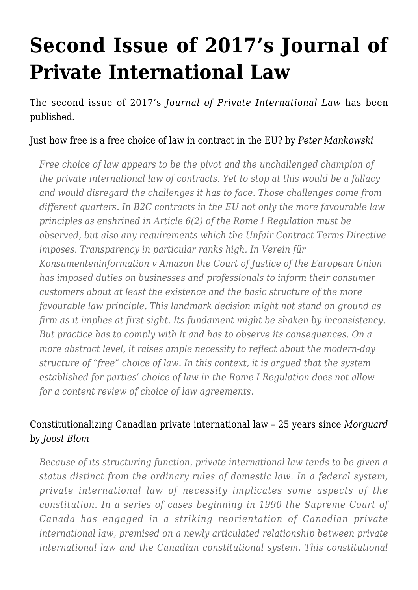# **[Second Issue of 2017's Journal of](https://conflictoflaws.net/2017/second-issue-of-2017s-journal-of-private-international-law/) [Private International Law](https://conflictoflaws.net/2017/second-issue-of-2017s-journal-of-private-international-law/)**

The second issue of 2017's *Journal of Private International Law* has been published.

#### [Just how free is a free choice of law in contract in the EU?](http://www.tandfonline.com/doi/full/10.1080/17441048.2017.1347432) by *Peter Mankowski*

*Free choice of law appears to be the pivot and the unchallenged champion of the private international law of contracts. Yet to stop at this would be a fallacy and would disregard the challenges it has to face. Those challenges come from different quarters. In B2C contracts in the EU not only the more favourable law principles as enshrined in Article 6(2) of the Rome I Regulation must be observed, but also any requirements which the Unfair Contract Terms Directive imposes. Transparency in particular ranks high. In Verein für Konsumenteninformation v Amazon the Court of Justice of the European Union has imposed duties on businesses and professionals to inform their consumer customers about at least the existence and the basic structure of the more favourable law principle. This landmark decision might not stand on ground as firm as it implies at first sight. Its fundament might be shaken by inconsistency. But practice has to comply with it and has to observe its consequences. On a more abstract level, it raises ample necessity to reflect about the modern-day structure of "free" choice of law. In this context, it is argued that the system established for parties' choice of law in the Rome I Regulation does not allow for a content review of choice of law agreements.*

# [Constitutionalizing Canadian private international law – 25 years since](http://www.tandfonline.com/doi/full/10.1080/17441048.2017.1355081) *[Morguard](http://www.tandfonline.com/doi/full/10.1080/17441048.2017.1355081)* by *Joost Blom*

*Because of its structuring function, private international law tends to be given a status distinct from the ordinary rules of domestic law. In a federal system, private international law of necessity implicates some aspects of the constitution. In a series of cases beginning in 1990 the Supreme Court of Canada has engaged in a striking reorientation of Canadian private international law, premised on a newly articulated relationship between private international law and the Canadian constitutional system. This constitutional*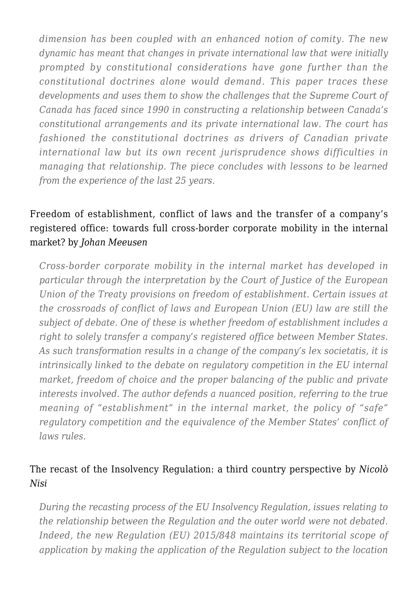*dimension has been coupled with an enhanced notion of comity. The new dynamic has meant that changes in private international law that were initially prompted by constitutional considerations have gone further than the constitutional doctrines alone would demand. This paper traces these developments and uses them to show the challenges that the Supreme Court of Canada has faced since 1990 in constructing a relationship between Canada's constitutional arrangements and its private international law. The court has fashioned the constitutional doctrines as drivers of Canadian private international law but its own recent jurisprudence shows difficulties in managing that relationship. The piece concludes with lessons to be learned from the experience of the last 25 years.*

# [Freedom of establishment, conflict of laws and the transfer of a company's](http://www.tandfonline.com/doi/full/10.1080/17441048.2017.1353819) [registered office: towards full cross-border corporate mobility in the internal](http://www.tandfonline.com/doi/full/10.1080/17441048.2017.1353819) [market?](http://www.tandfonline.com/doi/full/10.1080/17441048.2017.1353819) by *Johan Meeusen*

*Cross-border corporate mobility in the internal market has developed in particular through the interpretation by the Court of Justice of the European Union of the Treaty provisions on freedom of establishment. Certain issues at the crossroads of conflict of laws and European Union (EU) law are still the subject of debate. One of these is whether freedom of establishment includes a right to solely transfer a company's registered office between Member States. As such transformation results in a change of the company's lex societatis, it is intrinsically linked to the debate on regulatory competition in the EU internal market, freedom of choice and the proper balancing of the public and private interests involved. The author defends a nuanced position, referring to the true meaning of "establishment" in the internal market, the policy of "safe" regulatory competition and the equivalence of the Member States' conflict of laws rules.*

# [The recast of the Insolvency Regulation: a third country perspective](http://www.tandfonline.com/doi/full/10.1080/17441048.2017.1345901) by *Nicolò Nisi*

*During the recasting process of the EU Insolvency Regulation, issues relating to the relationship between the Regulation and the outer world were not debated. Indeed, the new Regulation (EU) 2015/848 maintains its territorial scope of application by making the application of the Regulation subject to the location*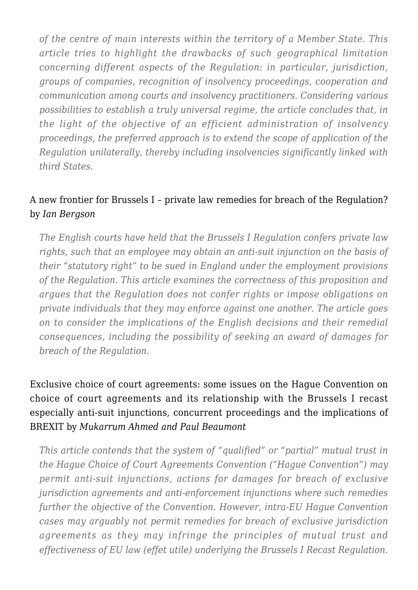*of the centre of main interests within the territory of a Member State. This article tries to highlight the drawbacks of such geographical limitation concerning different aspects of the Regulation: in particular, jurisdiction, groups of companies, recognition of insolvency proceedings, cooperation and communication among courts and insolvency practitioners. Considering various possibilities to establish a truly universal regime, the article concludes that, in the light of the objective of an efficient administration of insolvency proceedings, the preferred approach is to extend the scope of application of the Regulation unilaterally, thereby including insolvencies significantly linked with third States.*

### [A new frontier for Brussels I – private law remedies for breach of the Regulation?](http://www.tandfonline.com/doi/full/10.1080/17441048.2017.1353784) by *Ian Bergson*

*The English courts have held that the Brussels I Regulation confers private law rights, such that an employee may obtain an anti-suit injunction on the basis of their "statutory right" to be sued in England under the employment provisions of the Regulation. This article examines the correctness of this proposition and argues that the Regulation does not confer rights or impose obligations on private individuals that they may enforce against one another. The article goes on to consider the implications of the English decisions and their remedial consequences, including the possibility of seeking an award of damages for breach of the Regulation.*

[Exclusive choice of court agreements: some issues on the Hague Convention on](http://www.tandfonline.com/doi/full/10.1080/17441048.2017.1348782) [choice of court agreements and its relationship with the Brussels I recast](http://www.tandfonline.com/doi/full/10.1080/17441048.2017.1348782) [especially anti-suit injunctions, concurrent proceedings and the implications of](http://www.tandfonline.com/doi/full/10.1080/17441048.2017.1348782) [BREXIT](http://www.tandfonline.com/doi/full/10.1080/17441048.2017.1348782) by *Mukarrum Ahmed and Paul Beaumont*

*This article contends that the system of "qualified" or "partial" mutual trust in the Hague Choice of Court Agreements Convention ("Hague Convention") may permit anti-suit injunctions, actions for damages for breach of exclusive jurisdiction agreements and anti-enforcement injunctions where such remedies further the objective of the Convention. However, intra-EU Hague Convention cases may arguably not permit remedies for breach of exclusive jurisdiction agreements as they may infringe the principles of mutual trust and effectiveness of EU law (effet utile) underlying the Brussels I Recast Regulation.*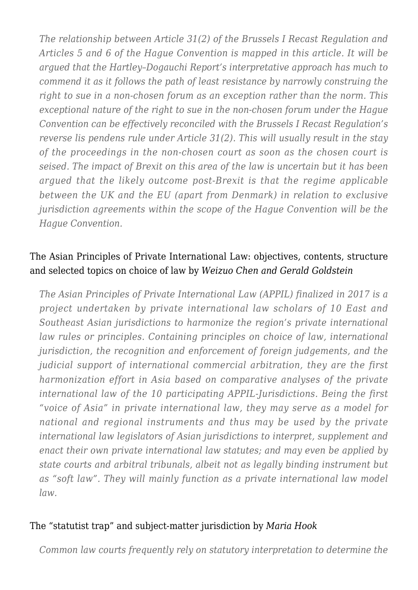*The relationship between Article 31(2) of the Brussels I Recast Regulation and Articles 5 and 6 of the Hague Convention is mapped in this article. It will be argued that the Hartley–Dogauchi Report's interpretative approach has much to commend it as it follows the path of least resistance by narrowly construing the right to sue in a non-chosen forum as an exception rather than the norm. This exceptional nature of the right to sue in the non-chosen forum under the Hague Convention can be effectively reconciled with the Brussels I Recast Regulation's reverse lis pendens rule under Article 31(2). This will usually result in the stay of the proceedings in the non-chosen court as soon as the chosen court is seised. The impact of Brexit on this area of the law is uncertain but it has been argued that the likely outcome post-Brexit is that the regime applicable between the UK and the EU (apart from Denmark) in relation to exclusive jurisdiction agreements within the scope of the Hague Convention will be the Hague Convention.*

#### [The Asian Principles of Private International Law: objectives, contents, structure](http://www.tandfonline.com/doi/full/10.1080/17441048.2017.1355508) [and selected topics on choice of law](http://www.tandfonline.com/doi/full/10.1080/17441048.2017.1355508) by *Weizuo Chen and Gerald Goldstein*

*The Asian Principles of Private International Law (APPIL) finalized in 2017 is a project undertaken by private international law scholars of 10 East and Southeast Asian jurisdictions to harmonize the region's private international law rules or principles. Containing principles on choice of law, international jurisdiction, the recognition and enforcement of foreign judgements, and the judicial support of international commercial arbitration, they are the first harmonization effort in Asia based on comparative analyses of the private international law of the 10 participating APPIL-Jurisdictions. Being the first "voice of Asia" in private international law, they may serve as a model for national and regional instruments and thus may be used by the private international law legislators of Asian jurisdictions to interpret, supplement and enact their own private international law statutes; and may even be applied by state courts and arbitral tribunals, albeit not as legally binding instrument but as "soft law". They will mainly function as a private international law model law.*

#### [The "statutist trap" and subject-matter jurisdiction](http://www.tandfonline.com/doi/full/10.1080/17441048.2017.1334348) by *Maria Hook*

*Common law courts frequently rely on statutory interpretation to determine the*